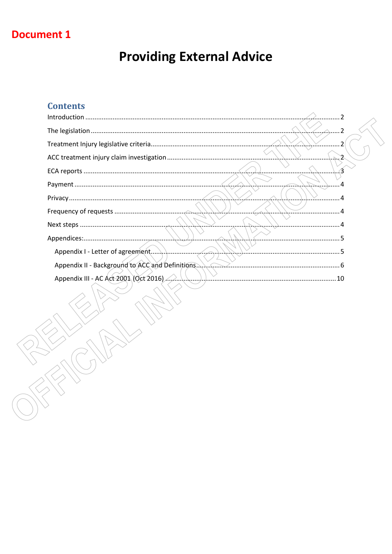## **Document 1**

# **Providing External Advice**

## **Contents**

| Appendix III - AC Act 2001 (Oct 2016) And Manuscription and Contact 10 |  |
|------------------------------------------------------------------------|--|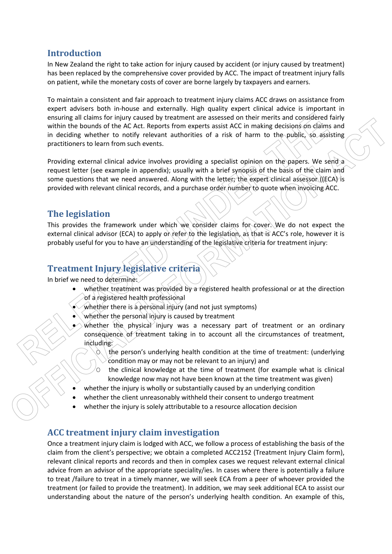## **Introduction**

In New Zealand the right to take action for injury caused by accident (or injury caused by treatment) has been replaced by the comprehensive cover provided by ACC. The impact of treatment injury falls on patient, while the monetary costs of cover are borne largely by taxpayers and earners.

To maintain a consistent and fair approach to treatment injury claims ACC draws on assistance from expert advisers both in-house and externally. High quality expert clinical advice is important in ensuring all claims for injury caused by treatment are assessed on their merits and considered fairly within the bounds of the AC Act. Reports from experts assist ACC in making decisions on claims and in deciding whether to notify relevant authorities of a risk of harm to the public, so assisting practitioners to learn from such events.

Providing external clinical advice involves providing a specialist opinion on the papers. We send a request letter (see example in appendix); usually with a brief synopsis of the basis of the claim and some questions that we need answered. Along with the letter; the expert clinical assessor ((ECA) is provided with relevant clinical records, and a purchase order number to quote when invoicing ACC.

## **The legislation**

This provides the framework under which we consider claims for cover. We do not expect the external clinical advisor (ECA) to apply or refer to the legislation, as that is ACC's role, however it is probably useful for you to have an understanding of the legislative criteria for treatment injury:

## **Treatment Injury legislative criteria**

In brief we need to determine:

- whether treatment was provided by a registered health professional or at the direction of a registered health professional
- whether there is a personal injury (and not just symptoms)
- whether the personal injury is caused by treatment
- whether the physical injury was a necessary part of treatment or an ordinary consequence of treatment taking in to account all the circumstances of treatment, including:
	- the person's underlying health condition at the time of treatment: (underlying condition may or may not be relevant to an injury) and
	- $\circ$  the clinical knowledge at the time of treatment (for example what is clinical knowledge now may not have been known at the time treatment was given)
- whether the injury is wholly or substantially caused by an underlying condition
- whether the client unreasonably withheld their consent to undergo treatment
- whether the injury is solely attributable to a resource allocation decision

## **ACC treatment injury claim investigation**

Once a treatment injury claim is lodged with ACC, we follow a process of establishing the basis of the claim from the client's perspective; we obtain a completed ACC2152 (Treatment Injury Claim form), relevant clinical reports and records and then in complex cases we request relevant external clinical advice from an advisor of the appropriate speciality/ies. In cases where there is potentially a failure to treat /failure to treat in a timely manner, we will seek ECA from a peer of whoever provided the treatment (or failed to provide the treatment). In addition, we may seek additional ECA to assist our understanding about the nature of the person's underlying health condition. An example of this,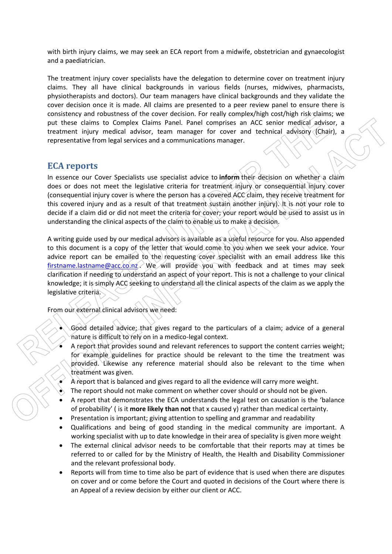with birth injury claims, we may seek an ECA report from a midwife, obstetrician and gynaecologist and a paediatrician.

The treatment injury cover specialists have the delegation to determine cover on treatment injury claims. They all have clinical backgrounds in various fields (nurses, midwives, pharmacists, physiotherapists and doctors). Our team managers have clinical backgrounds and they validate the cover decision once it is made. All claims are presented to a peer review panel to ensure there is consistency and robustness of the cover decision. For really complex/high cost/high risk claims; we put these claims to Complex Claims Panel. Panel comprises an ACC senior medical advisor, a treatment injury medical advisor, team manager for cover and technical advisory (Chair), a representative from legal services and a communications manager.

## **ECA reports**

In essence our Cover Specialists use specialist advice to **inform** their decision on whether a claim does or does not meet the legislative criteria for treatment injury or consequential injury cover (consequential injury cover is where the person has a covered ACC claim, they receive treatment for this covered injury and as a result of that treatment sustain another injury). It is not your role to decide if a claim did or did not meet the criteria for cover; your report would be used to assist us in understanding the clinical aspects of the claim to enable us to make a decision.

A writing guide used by our medical advisors is available as a useful resource for you. Also appended to this document is a copy of the letter that would come to you when we seek your advice. Your advice report can be emailed to the requesting cover specialist with an email address like this firstname.lastname@acc.co.nz We will provide you with feedback and at times may seek clarification if needing to understand an aspect of your report. This is not a challenge to your clinical knowledge; it is simply ACC seeking to understand all the clinical aspects of the claim as we apply the legislative criteria.

From our external clinical advisors we need:

- $\overline{6000}$  detailed advice; that gives regard to the particulars of a claim; advice of a general nature is difficult to rely on in a medico-legal context.
- A report that provides sound and relevant references to support the content carries weight; for example guidelines for practice should be relevant to the time the treatment was provided. Likewise any reference material should also be relevant to the time when treatment was given.
- A report that is balanced and gives regard to all the evidence will carry more weight.
- The report should not make comment on whether cover should or should not be given.
- A report that demonstrates the ECA understands the legal test on causation is the 'balance of probability' ( is it **more likely than not** that x caused y) rather than medical certainty.
- Presentation is important; giving attention to spelling and grammar and readability
- Qualifications and being of good standing in the medical community are important. A working specialist with up to date knowledge in their area of speciality is given more weight
- The external clinical advisor needs to be comfortable that their reports may at times be referred to or called for by the Ministry of Health, the Health and Disability Commissioner and the relevant professional body.
- Reports will from time to time also be part of evidence that is used when there are disputes on cover and or come before the Court and quoted in decisions of the Court where there is an Appeal of a review decision by either our client or ACC.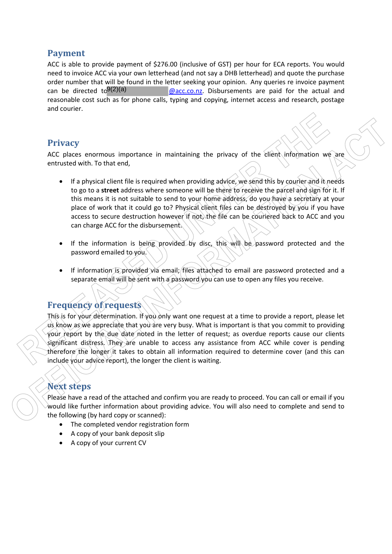## **Payment**

ACC is able to provide payment of \$276.00 (inclusive of GST) per hour for ECA reports. You would need to invoice ACC via your own letterhead (and not say a DHB letterhead) and quote the purchase order number that will be found in the letter seeking your opinion. Any queries re invoice payment  $Q$ acc.co.nz. Disbursements are paid for the actual and reasonable cost such as for phone calls, typing and copying, internet access and research, postage and courier. can be directed  $to^{9(2)(a)}$ 

## **Privacy**

ACC places enormous importance in maintaining the privacy of the client information we are entrusted with. To that end,

- If a physical client file is required when providing advice, we send this by courier and it needs to go to a **street** address where someone will be there to receive the parcel and sign for it. If this means it is not suitable to send to your home address, do you have a secretary at your place of work that it could go to? Physical client files can be destroyed by you if you have access to secure destruction however if not, the file can be couriered back to ACC and you can charge ACC for the disbursement.
- If the information is being provided by disc, this will be password protected and the password emailed to you.
- If information is provided via email; files attached to email are password protected and a separate email will be sent with a password you can use to open any files you receive.

## **Frequency of requests**

This is for your determination. If you only want one request at a time to provide a report, please let us know as we appreciate that you are very busy. What is important is that you commit to providing your report by the due date noted in the letter of request; as overdue reports cause our clients significant distress. They are unable to access any assistance from ACC while cover is pending therefore the longer it takes to obtain all information required to determine cover (and this can include your advice report), the longer the client is waiting.

## **Next steps**

Please have a read of the attached and confirm you are ready to proceed. You can call or email if you would like further information about providing advice. You will also need to complete and send to the following (by hard copy or scanned):

- The completed vendor registration form
- A copy of your bank deposit slip
- A copy of your current CV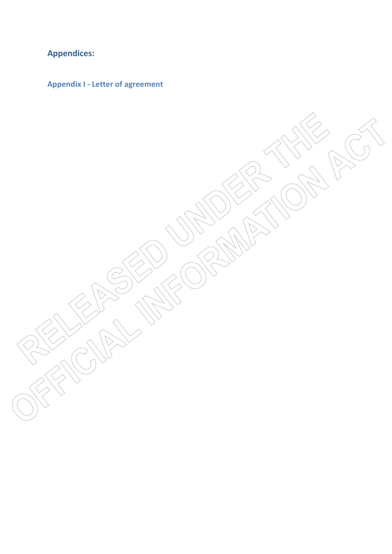## **Appendices:**

**Appendix I - Letter of agreement**

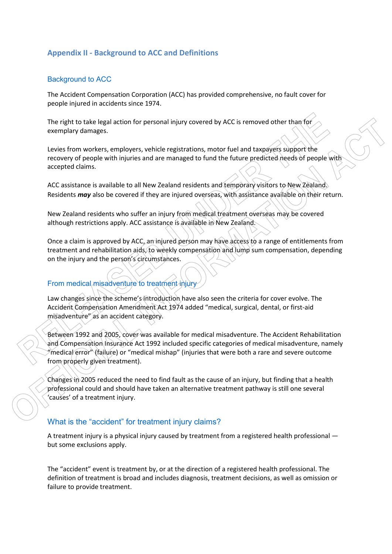## **Appendix II - Background to ACC and Definitions**

#### Background to ACC

The Accident Compensation Corporation (ACC) has provided comprehensive, no fault cover for people injured in accidents since 1974.

The right to take legal action for personal injury covered by ACC is removed other than for exemplary damages.

Levies from workers, employers, vehicle registrations, motor fuel and taxpayers support the recovery of people with injuries and are managed to fund the future predicted needs of people with accepted claims.

ACC assistance is available to all New Zealand residents and temporary visitors to New Zealand. Residents *may* also be covered if they are injured overseas, with assistance available on their return.

New Zealand residents who suffer an injury from medical treatment overseas may be covered although restrictions apply. ACC assistance is available in New Zealand.

Once a claim is approved by ACC, an injured person may have access to a range of entitlements from treatment and rehabilitation aids, to weekly compensation and lump sum compensation, depending on the injury and the person's circumstances.

## From medical misadventure to treatment injury

Law changes since the scheme's introduction have also seen the criteria for cover evolve. The Accident Compensation Amendment Act 1974 added "medical, surgical, dental, or first-aid misadventure" as an accident category.

Between 1992 and 2005, cover was available for medical misadventure. The Accident Rehabilitation and Compensation Insurance Act 1992 included specific categories of medical misadventure, namely  $\mathscr{C}$ medical error $\mathscr{C}$  (failure) or "medical mishap" (injuries that were both a rare and severe outcome from properly given treatment).

Changes in 2005 reduced the need to find fault as the cause of an injury, but finding that a health professional could and should have taken an alternative treatment pathway is still one several 'causes' of a treatment injury.

#### What is the "accident" for treatment injury claims?

A treatment injury is a physical injury caused by treatment from a registered health professional but some exclusions apply.

The "accident" event is treatment by, or at the direction of a registered health professional. The definition of treatment is broad and includes diagnosis, treatment decisions, as well as omission or failure to provide treatment.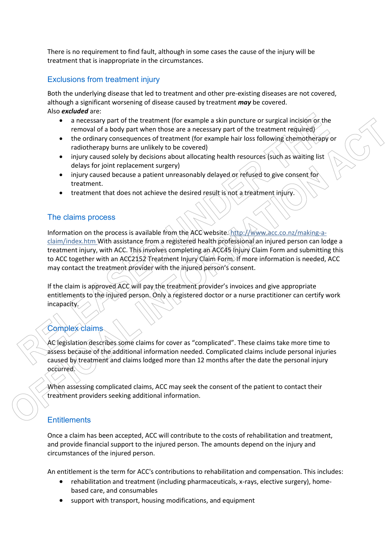There is no requirement to find fault, although in some cases the cause of the injury will be treatment that is inappropriate in the circumstances.

## Exclusions from treatment injury

Both the underlying disease that led to treatment and other pre-existing diseases are not covered, although a significant worsening of disease caused by treatment *may* be covered. Also *excluded* are:

- a necessary part of the treatment (for example a skin puncture or surgical incision or the removal of a body part when those are a necessary part of the treatment required)
- the ordinary consequences of treatment (for example hair loss following chemotherapy or radiotherapy burns are unlikely to be covered)
- injury caused solely by decisions about allocating health resources (such as waiting list delays for joint replacement surgery)
- injury caused because a patient unreasonably delayed or refused to give consent for treatment.
- treatment that does not achieve the desired result is not a treatment injury.

#### The claims process

Information on the process is available from the ACC website. http://www.acc.co.nz/making-aclaim/index.htm With assistance from a registered health professional an injured person can lodge a treatment injury, with ACC. This involves completing an ACC45 Injury Claim Form and submitting this to ACC together with an ACC2152 Treatment Injury Claim Form. If more information is needed, ACC may contact the treatment provider with the injured person's consent.

If the claim is approved ACC will pay the treatment provider's invoices and give appropriate entitlements to the injured person. Only a registered doctor or a nurse practitioner can certify work incapacity.

## Complex claims

AC legislation describes some claims for cover as "complicated". These claims take more time to assess because of the additional information needed. Complicated claims include personal injuries caused by treatment and claims lodged more than 12 months after the date the personal injury occurred.

When assessing complicated claims, ACC may seek the consent of the patient to contact their treatment providers seeking additional information.

## **Entitlements**

Once a claim has been accepted, ACC will contribute to the costs of rehabilitation and treatment, and provide financial support to the injured person. The amounts depend on the injury and circumstances of the injured person.

An entitlement is the term for ACC's contributions to rehabilitation and compensation. This includes:

- rehabilitation and treatment (including pharmaceuticals, x-rays, elective surgery), homebased care, and consumables
- support with transport, housing modifications, and equipment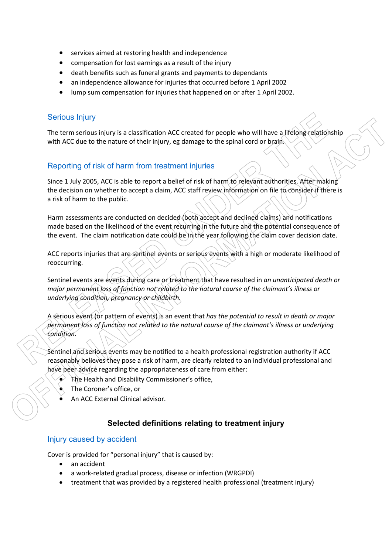- services aimed at restoring health and independence
- compensation for lost earnings as a result of the injury
- death benefits such as funeral grants and payments to dependants
- an independence allowance for injuries that occurred before 1 April 2002
- lump sum compensation for injuries that happened on or after 1 April 2002.

## Serious Injury

The term serious injury is a classification ACC created for people who will have a lifelong relationship with ACC due to the nature of their injury, eg damage to the spinal cord or brain.

## Reporting of risk of harm from treatment injuries

Since 1 July 2005, ACC is able to report a belief of risk of harm to relevant authorities. After making the decision on whether to accept a claim, ACC staff review information on file to consider if there is a risk of harm to the public.

Harm assessments are conducted on decided (both accept and declined claims) and notifications made based on the likelihood of the event recurring in the future and the potential consequence of the event. The claim notification date could be in the year following the claim cover decision date.

ACC reports injuries that are sentinel events or serious events with a high or moderate likelihood of reoccurring.

Sentinel events are events during care or treatment that have resulted in *an unanticipated death or major permanent loss of function not related to the natural course of the claimant's illness or underlying condition, pregnancy or childbirth.*

A serious event (or pattern of events) is an event that *has the potential to result in death or major permanent loss of function not related to the natural course of the claimant's illness or underlying condition.*

Sentinel and serious events may be notified to a health professional registration authority if ACC reasonably believes they pose a risk of harm, are clearly related to an individual professional and have peer advice regarding the appropriateness of care from either:

- The Health and Disability Commissioner's office,
- The Coroner's office, or
- An ACC External Clinical advisor.

## **Selected definitions relating to treatment injury**

#### Injury caused by accident

Cover is provided for "personal injury" that is caused by:

an accident

 $\overline{a}$ 

- a work-related gradual process, disease or infection (WRGPDI)
- treatment that was provided by a registered health professional (treatment injury)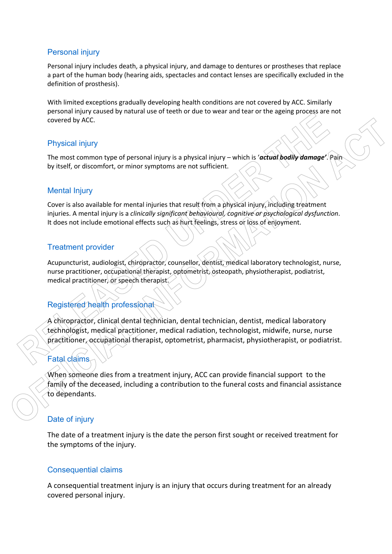## Personal injury

Personal injury includes death, a physical injury, and damage to dentures or prostheses that replace a part of the human body (hearing aids, spectacles and contact lenses are specifically excluded in the definition of prosthesis).

With limited exceptions gradually developing health conditions are not covered by ACC. Similarly personal injury caused by natural use of teeth or due to wear and tear or the ageing process are not covered by ACC.

## Physical injury

The most common type of personal injury is a physical injury – which is '*actual bodily damage'*. Pain by itself, or discomfort, or minor symptoms are not sufficient.

## Mental Injury

Cover is also available for mental injuries that result from a physical injury, including treatment injuries. A mental injury is a *clinically significant behavioural, cognitive or psychological dysfunction*. It does not include emotional effects such as hurt feelings, stress or loss of enjoyment.

## Treatment provider

Acupuncturist, audiologist, chiropractor, counsellor, dentist, medical laboratory technologist, nurse, nurse practitioner, occupational therapist, optometrist, osteopath, physiotherapist, podiatrist, medical practitioner, or speech therapist.

## Registered health professional

A chiropractor, clinical dental technician, dental technician, dentist, medical laboratory technologist, medical practitioner, medical radiation, technologist, midwife, nurse, nurse practitioner, occupational therapist, optometrist, pharmacist, physiotherapist, or podiatrist.

## Fatal claims

When someone dies from a treatment injury, ACC can provide financial support to the family of the deceased, including a contribution to the funeral costs and financial assistance to dependants.

## Date of injury

The date of a treatment injury is the date the person first sought or received treatment for the symptoms of the injury.

#### Consequential claims

A consequential treatment injury is an injury that occurs during treatment for an already covered personal injury.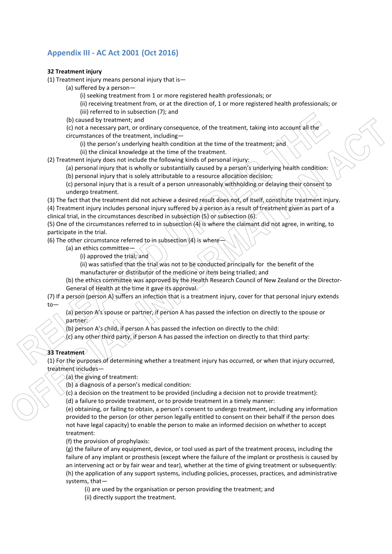## **Appendix III - AC Act 2001 (Oct 2016)**

#### **32 Treatment injury**

(1) Treatment injury means personal injury that is—

(a) suffered by a person—

(i) seeking treatment from 1 or more registered health professionals; or

(ii) receiving treatment from, or at the direction of, 1 or more registered health professionals; or

(iii) referred to in subsection (7); and

(b) caused by treatment; and

(c) not a necessary part, or ordinary consequence, of the treatment, taking into account all the circumstances of the treatment, including—

(i) the person's underlying health condition at the time of the treatment; and

(ii) the clinical knowledge at the time of the treatment.

(2) Treatment injury does not include the following kinds of personal injury:

(a) personal injury that is wholly or substantially caused by a person's underlying health condition:

(b) personal injury that is solely attributable to a resource allocation decision:

(c) personal injury that is a result of a person unreasonably withholding or delaying their consent to undergo treatment.

(3) The fact that the treatment did not achieve a desired result does not, of itself, constitute treatment injury. (4) Treatment injury includes personal injury suffered by a person as a result of treatment given as part of a clinical trial, in the circumstances described in subsection (5) or subsection (6).

(5) One of the circumstances referred to in subsection (4) is where the claimant did not agree, in writing, to participate in the trial.

(6) The other circumstance referred to in subsection  $(4)$  is where—

(a) an ethics committee—

(i) approved the trial; and

(ii) was satisfied that the trial was not to be conducted principally for the benefit of the manufacturer or distributor of the medicine or item being trialled; and

(b) the ethics committee was approved by the Health Research Council of New Zealand or the Director-General of Health at the time it gave its approval.

#### (7) If a person (person A) suffers an infection that is a treatment injury, cover for that personal injury extends to—

(a) person A's spouse or partner, if person A has passed the infection on directly to the spouse or partner:

(b) person A's child, if person A has passed the infection on directly to the child:

(c) any other third party, if person A has passed the infection on directly to that third party:

#### **33 Treatment**

(1) For the purposes of determining whether a treatment injury has occurred, or when that injury occurred, treatment includes—

 $(a)$  the giving of treatment:

(b) a diagnosis of a person's medical condition:

(c) a decision on the treatment to be provided (including a decision not to provide treatment):

(d) a failure to provide treatment, or to provide treatment in a timely manner:

(e) obtaining, or failing to obtain, a person's consent to undergo treatment, including any information provided to the person (or other person legally entitled to consent on their behalf if the person does not have legal capacity) to enable the person to make an informed decision on whether to accept treatment:

(f) the provision of prophylaxis:

(g) the failure of any equipment, device, or tool used as part of the treatment process, including the failure of any implant or prosthesis (except where the failure of the implant or prosthesis is caused by an intervening act or by fair wear and tear), whether at the time of giving treatment or subsequently: (h) the application of any support systems, including policies, processes, practices, and administrative systems, that—

(i) are used by the organisation or person providing the treatment; and (ii) directly support the treatment.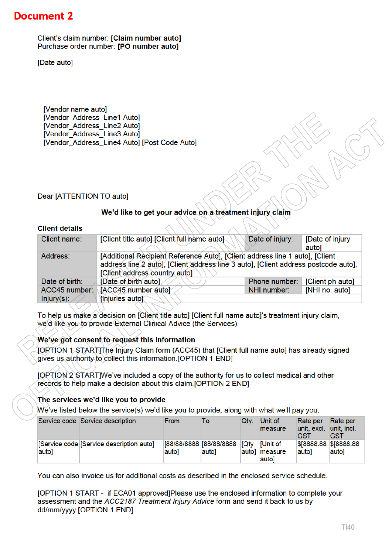## **Document 2**

Client's claim number: [Claim number auto] Purchase order number: [PO number auto]

[Date auto]

[Vendor name auto] [Vendor Address Line1 Auto] [Vendor\_Address\_Line2 Auto] [Vendor Address Line3 Auto] [Vendor Address Line4 Auto] [Post Code Auto]

#### Dear [ATTENTION TO auto]

#### We'd like to get your advice on a treatment injury claim

#### **Client details**

| Client name:    | [Client title auto] [Client full hame auto]                                                                                                                                                          | Date of injury: | [Date of injury<br>autol |
|-----------------|------------------------------------------------------------------------------------------------------------------------------------------------------------------------------------------------------|-----------------|--------------------------|
| Address:        | [Additional Recipient Reference Auto], [Client address line 1 auto], [Client<br>address line 2 auto), [Client address line 3 auto], [Client address postcode auto],<br>[Client address country auto] |                 |                          |
| Date of birth:  | [Date of birth auto]                                                                                                                                                                                 | Phone number:   | [Client ph auto]         |
| $ACC45$ number. | (ĭACC45 number auto)≦                                                                                                                                                                                | NHI number:     | [NHI no. auto]           |
| Injury(s):      | <b>Finjuries auto</b>                                                                                                                                                                                |                 |                          |
|                 |                                                                                                                                                                                                      |                 |                          |

To help us make a decision on [Client title auto] [Client full name auto]'s treatment injury claim, we'd like you to provide External Clinical Advice (the Services).

#### We've got consent to request this information

JORTION 1.STARTThe Injury Claim form (ACC45) that [Client full name auto] has already signed gives us authority to collect this information. [OPTION 1 END]

[OPTION 2 START] We've included a copy of the authority for us to collect medical and other records to help make a decision about this claim.[OPTION 2 END]

#### The services we'd like you to provide

We've listed below the service(s) we'd like you to provide, along with what we'll pay you.

|       | Service code Service description        | From  | To                               | Qtv.        | <b>Unit of</b><br>measure                   | Rate per<br>unit, excl. unit, incl.<br><b>GST</b> | Rate per<br>GST |
|-------|-----------------------------------------|-------|----------------------------------|-------------|---------------------------------------------|---------------------------------------------------|-----------------|
| auto] | [Service code Service description auto] | autol | 88/88/8888  88/88/8888<br>lauto] | <b>TQtv</b> | <b>I</b> IUnit of<br>auto] measure<br>autol | \$8888.88 \$8888.88<br>autol                      | auto]           |

You can also invoice us for additional costs as described in the enclosed service schedule.

[OPTION 1 START - if ECA01 approved]Please use the enclosed information to complete your assessment and the ACC2187 Treatment Injury Advice form and send it back to us by dd/mm/yyyy.[OPTION 1 END]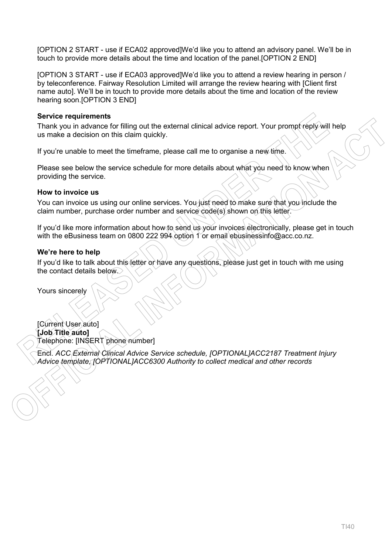[OPTION 2 START - use if ECA02 approved]We'd like you to attend an advisory panel. We'll be in touch to provide more details about the time and location of the panel.[OPTION 2 END]

[OPTION 3 START - use if ECA03 approved]We'd like you to attend a review hearing in person / by teleconference. Fairway Resolution Limited will arrange the review hearing with [Client first name auto]. We'll be in touch to provide more details about the time and location of the review hearing soon.[OPTION 3 END]

#### **Service requirements**

Thank you in advance for filling out the external clinical advice report. Your prompt reply will help us make a decision on this claim quickly.

If you're unable to meet the timeframe, please call me to organise a new time.

Please see below the service schedule for more details about what you need to know when providing the service.

#### **How to invoice us**

You can invoice us using our online services. You just need to make sure that you include the claim number, purchase order number and service code(s) shown on this letter.

If you'd like more information about how to send us your invoices electronically, please get in touch with the eBusiness team on 0800 222 994 option 1 or email ebusinessinfo@acc.co.nz.

#### **We're here to help**

If you'd like to talk about this letter or have any questions, please just get in touch with me using the contact details below.

Yours sincerely

[Current User auto] **[Job Title auto]** Telephone: [INSERT phone number]

Encl. *ACC External Clinical Advice Service schedule, [OPTIONAL]ACC2187 Treatment Injury Advice template, [OPTIONAL]ACC6300 Authority to collect medical and other records*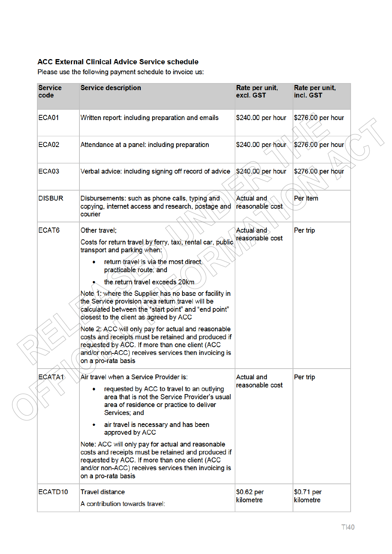## **ACC External Clinical Advice Service schedule**

Please use the following payment schedule to invoice us:

| <b>Service</b><br>code | <b>Service description</b>                                                                                                                                                                                                                                                                                                                                                                                                                                                                                                                                                                                                                                                    | Rate per unit,<br>excl. GST          | Rate per unit,<br>incl. GST |
|------------------------|-------------------------------------------------------------------------------------------------------------------------------------------------------------------------------------------------------------------------------------------------------------------------------------------------------------------------------------------------------------------------------------------------------------------------------------------------------------------------------------------------------------------------------------------------------------------------------------------------------------------------------------------------------------------------------|--------------------------------------|-----------------------------|
| <b>ECA01</b>           | Written report: including preparation and emails                                                                                                                                                                                                                                                                                                                                                                                                                                                                                                                                                                                                                              | \$240.00 per hour                    | \$276.00 per hour           |
| <b>ECA02</b>           | Attendance at a panel: including preparation                                                                                                                                                                                                                                                                                                                                                                                                                                                                                                                                                                                                                                  | \$240.00 per hour                    | \$276.00 per hour           |
| ECA03                  | Verbal advice: including signing off record of advice                                                                                                                                                                                                                                                                                                                                                                                                                                                                                                                                                                                                                         | \$240.00 per hour                    | \$276.00 per hour           |
| <b>DISBUR</b>          | Disbursements: such as phone calls, typing and<br>copying, internet access and research, postage and<br>courier                                                                                                                                                                                                                                                                                                                                                                                                                                                                                                                                                               | <b>Actual and</b><br>reasonable cost | Per item                    |
| ECAT6                  | Other travel:<br>Costs for return travel by ferry, taxi, rental car, public.<br>transport and parking when;<br>return travel is via the most direct,<br>practicable route; and<br>the return travel exceeds 20km<br>Note 1: where the Supplier has no base or facility in<br>the Service provision area return travel will be<br>calculated between the "start-point" and "end point"<br>closest to the client as agreed by ACC<br>Note 2: ACC will only pay for actual and reasonable<br>costs and receipts must be retained and produced if<br>requested by ACC. If more than one client (ACC<br>and/or non-ACC) receives services then invoicing is<br>on a pro-rata basis | Actual and<br>reasonable cost        | Per trip                    |
| ECATA1                 | Air travel when a Service Provider is:<br>requested by ACC to travel to an outlying<br>area that is not the Service Provider's usual<br>area of residence or practice to deliver<br>Services; and<br>air travel is necessary and has been<br>approved by ACC<br>Note: ACC will only pay for actual and reasonable<br>costs and receipts must be retained and produced if<br>requested by ACC. If more than one client (ACC<br>and/or non-ACC) receives services then invoicing is<br>on a pro-rata basis                                                                                                                                                                      | <b>Actual and</b><br>reasonable cost | Per trip                    |
| ECATD <sub>10</sub>    | <b>Travel distance</b><br>A contribution towards travel:                                                                                                                                                                                                                                                                                                                                                                                                                                                                                                                                                                                                                      | \$0.62 per<br>kilometre              | \$0.71 per<br>kilometre     |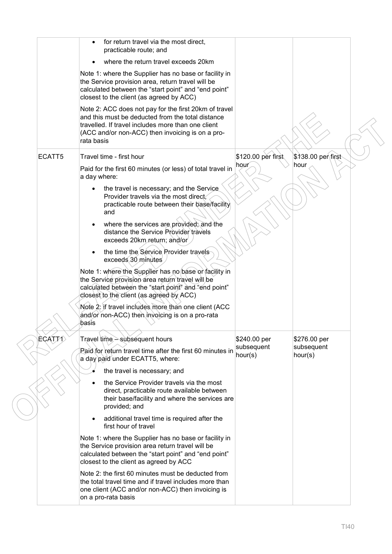|               | for return travel via the most direct,<br>practicable route; and                                                                                                                                                                   |                       |                       |
|---------------|------------------------------------------------------------------------------------------------------------------------------------------------------------------------------------------------------------------------------------|-----------------------|-----------------------|
|               | where the return travel exceeds 20km                                                                                                                                                                                               |                       |                       |
|               | Note 1: where the Supplier has no base or facility in<br>the Service provision area, return travel will be<br>calculated between the "start point" and "end point"<br>closest to the client (as agreed by ACC)                     |                       |                       |
|               | Note 2: ACC does not pay for the first 20km of travel<br>and this must be deducted from the total distance<br>travelled. If travel includes more than one client<br>(ACC and/or non-ACC) then invoicing is on a pro-<br>rata basis |                       |                       |
| ECATT5        | Travel time - first hour                                                                                                                                                                                                           | \$120.00 per first    | \$138.00 per first    |
|               | Paid for the first 60 minutes (or less) of total travel in<br>a day where:                                                                                                                                                         | hour                  | hour                  |
|               | the travel is necessary; and the Service<br>$\bullet$<br>Provider travels via the most direct.<br>practicable route between their base/facility<br>and                                                                             |                       |                       |
|               | where the services are provided, and the<br>$\bullet$<br>distance the Service Provider travels<br>exceeds 20km return; and/or                                                                                                      |                       |                       |
|               | the time the Service Provider travels<br>exceeds 30 minutes                                                                                                                                                                        |                       |                       |
|               | Note 1: where the Supplier has no base or facility in<br>the Service provision area return travel will be<br>calculated between the "start point" and "end point"<br>closest to the client (as agreed by ACC)                      |                       |                       |
|               | Note 2: if travel includes more than one client (ACC<br>and/or non-ACC) then invoicing is on a pro-rata<br>basis                                                                                                                   |                       |                       |
| <b>ÈCAT71</b> | Travel time - subsequent hours                                                                                                                                                                                                     | \$240.00 per          | \$276.00 per          |
|               | Paid for return travel time after the first 60 minutes in<br>a day paid under ECATT5, where:                                                                                                                                       | subsequent<br>hour(s) | subsequent<br>hour(s) |
|               | the travel is necessary; and                                                                                                                                                                                                       |                       |                       |
|               | the Service Provider travels via the most<br>direct, practicable route available between<br>their base/facility and where the services are<br>provided; and                                                                        |                       |                       |
|               | additional travel time is required after the<br>$\bullet$<br>first hour of travel                                                                                                                                                  |                       |                       |
|               | Note 1: where the Supplier has no base or facility in<br>the Service provision area return travel will be<br>calculated between the "start point" and "end point"<br>closest to the client as agreed by ACC                        |                       |                       |
|               | Note 2: the first 60 minutes must be deducted from<br>the total travel time and if travel includes more than<br>one client (ACC and/or non-ACC) then invoicing is<br>on a pro-rata basis                                           |                       |                       |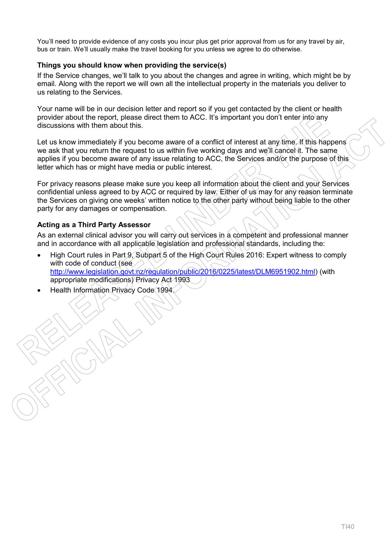You'll need to provide evidence of any costs you incur plus get prior approval from us for any travel by air, bus or train. We'll usually make the travel booking for you unless we agree to do otherwise.

#### **Things you should know when providing the service(s)**

If the Service changes, we'll talk to you about the changes and agree in writing, which might be by email. Along with the report we will own all the intellectual property in the materials you deliver to us relating to the Services.

Your name will be in our decision letter and report so if you get contacted by the client or health provider about the report, please direct them to ACC. It's important you don't enter into any discussions with them about this.

Let us know immediately if you become aware of a conflict of interest at any time. If this happens we ask that you return the request to us within five working days and we'll cancel it. The same applies if you become aware of any issue relating to ACC, the Services and/or the purpose of this letter which has or might have media or public interest.

For privacy reasons please make sure you keep all information about the client and your Services confidential unless agreed to by ACC or required by law. Either of us may for any reason terminate the Services on giving one weeks' written notice to the other party without being liable to the other party for any damages or compensation.

#### **Acting as a Third Party Assessor**

As an external clinical advisor you will carry out services in a competent and professional manner and in accordance with all applicable legislation and professional standards, including the:

- High Court rules in Part 9, Subpart 5 of the High Court Rules 2016: Expert witness to comply with code of conduct (see http://www.legislation.govt.nz/regulation/public/2016/0225/latest/DLM6951902.html) (with appropriate modifications) Privacy Act 1993
- Health Information Privacy Code 1994.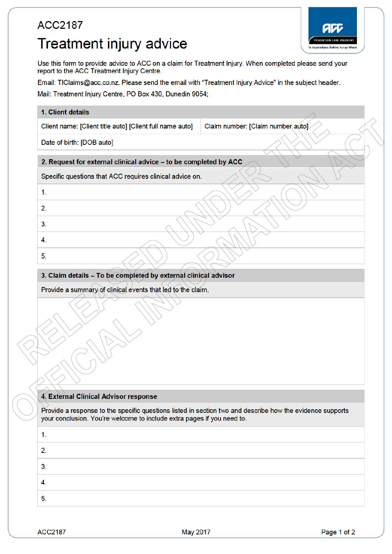# **ACC2187** Treatment injury advice



Use this form to provide advice to ACC on a claim for Treatment Injury. When completed please send your report to the ACC Treatment Injury Centre.

Email: TIClaims@acc.co.nz. Please send the email with "Treatment Injury Advice" in the subject header.

Mail: Treatment Injury Centre, PO Box 430, Dunedin 9054;

| Client name: [Client title auto] [Client full name auto]                                                                                                                                                                                       | Claim number: [Claim number auto] |
|------------------------------------------------------------------------------------------------------------------------------------------------------------------------------------------------------------------------------------------------|-----------------------------------|
| Date of birth: [DOB auto]                                                                                                                                                                                                                      |                                   |
| 2. Request for external clinical advice - to be completed by ACC                                                                                                                                                                               |                                   |
| Specific questions that ACC requires clinical advice on.                                                                                                                                                                                       |                                   |
| 1.                                                                                                                                                                                                                                             |                                   |
| 2.                                                                                                                                                                                                                                             |                                   |
| 3.                                                                                                                                                                                                                                             |                                   |
| 4.                                                                                                                                                                                                                                             |                                   |
| 5.                                                                                                                                                                                                                                             |                                   |
| 3. Claim details - To be completed by external clinical advisor                                                                                                                                                                                |                                   |
|                                                                                                                                                                                                                                                |                                   |
| Provide a summary of clinical events that led to the claim.                                                                                                                                                                                    |                                   |
|                                                                                                                                                                                                                                                |                                   |
|                                                                                                                                                                                                                                                |                                   |
|                                                                                                                                                                                                                                                |                                   |
|                                                                                                                                                                                                                                                |                                   |
|                                                                                                                                                                                                                                                |                                   |
| 4. External Clinical Advisor response<br>Provide a response to the specific questions listed in section two and describe how the evidence supports<br>your conclusion. You're welcome to include extra pages if you need to.<br>1.<br>2.<br>3. |                                   |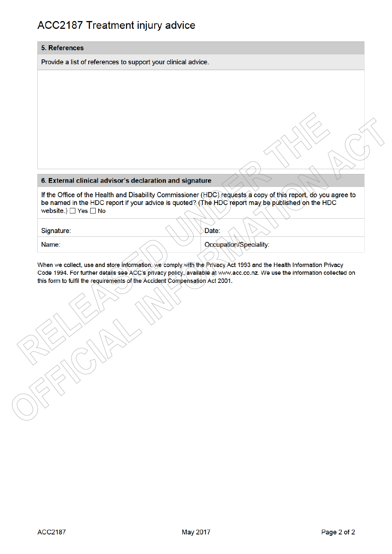## **ACC2187 Treatment injury advice**

#### 5. References

Provide a list of references to support your clinical advice.

#### 6. External clinical advisor's declaration and signature

If the Office of the Health and Disability Commissioner (HDC) requests a copy of this report, do you agree to be named in the HDC report if your advice is quoted? (The HDC report may be published on the HDC website.)  $\Box$  Yes  $\Box$  No

Signature:

Date:

Name:

Occupation/Speciality:

When we collect, use and store information, we comply with the Privacy Act 1993 and the Health Information Privacy Code 1994. For further details see ACC's privacy policy, available at www.acc.co.nz. We use the information collected on this form to fulfil the requirements of the Accident Compensation Act 2001.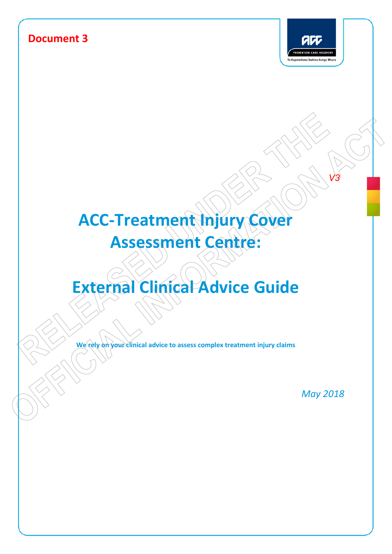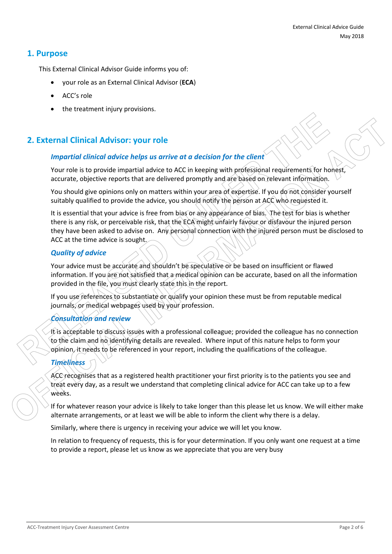## **1. Purpose**

This External Clinical Advisor Guide informs you of:

- your role as an External Clinical Advisor (**ECA**)
- ACC's role
- the treatment injury provisions.

## **2. External Clinical Advisor: your role**

#### *Impartial clinical advice helps us arrive at a decision for the client*

Your role is to provide impartial advice to ACC in keeping with professional requirements for honest, accurate, objective reports that are delivered promptly and are based on relevant information.

You should give opinions only on matters within your area of expertise. If you do not consider yourself suitably qualified to provide the advice, you should notify the person at ACC who requested it.

It is essential that your advice is free from bias or any appearance of bias. The test for bias is whether there is any risk, or perceivable risk, that the ECA might unfairly favour or disfavour the injured person they have been asked to advise on. Any personal connection with the injured person must be disclosed to ACC at the time advice is sought.

#### *Quality of advice*

Your advice must be accurate and shouldn't be speculative or be based on insufficient or flawed information. If you are not satisfied that a medical opinion can be accurate, based on all the information provided in the file, you must clearly state this in the report.

If you use references to substantiate or qualify your opinion these must be from reputable medical journals, or medical webpages used by your profession.

## *Consultation and review*

It is acceptable to discuss issues with a professional colleague; provided the colleague has no connection to the claim and no identifying details are revealed. Where input of this nature helps to form your opinion, it needs to be referenced in your report, including the qualifications of the colleague.

## *Timeliness*

ACC recognises that as a registered health practitioner your first priority is to the patients you see and treat every day, as a result we understand that completing clinical advice for ACC can take up to a few weeks.

If for whatever reason your advice is likely to take longer than this please let us know. We will either make alternate arrangements, or at least we will be able to inform the client why there is a delay.

Similarly, where there is urgency in receiving your advice we will let you know.

In relation to frequency of requests, this is for your determination. If you only want one request at a time to provide a report, please let us know as we appreciate that you are very busy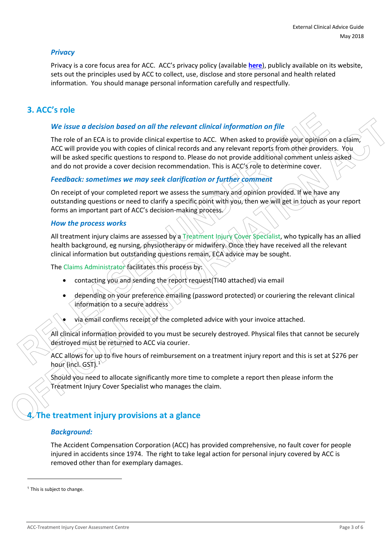#### *Privacy*

Privacy is a core focus area for ACC. ACC's privacy policy (available **here**), publicly available on its website, sets out the principles used by ACC to collect, use, disclose and store personal and health related information. You should manage personal information carefully and respectfully.

## **3. ACC's role**

#### *We issue a decision based on all the relevant clinical information on file*

The role of an ECA is to provide clinical expertise to ACC. When asked to provide your opinion on a claim, ACC will provide you with copies of clinical records and any relevant reports from other providers. You will be asked specific questions to respond to. Please do not provide additional comment unless asked and do not provide a cover decision recommendation. This is ACC's role to determine cover.

#### *Feedback: sometimes we may seek clarification or further comment*

On receipt of your completed report we assess the summary and opinion provided. If we have any outstanding questions or need to clarify a specific point with you, then we will get in touch as your report forms an important part of ACC's decision-making process.

#### *How the process works*

All treatment injury claims are assessed by a Treatment Injury Cover Specialist, who typically has an allied health background, eg nursing, physiotherapy or midwifery. Once they have received all the relevant clinical information but outstanding questions remain, ECA advice may be sought.

The Claims Administrator facilitates this process by:

- contacting you and sending the report request(TI40 attached) via email
- depending on your preference emailing (password protected) or couriering the relevant clinical information to a secure address
- via email confirms receipt of the completed advice with your invoice attached.

All clinical information provided to you must be securely destroyed. Physical files that cannot be securely destroyed must be returned to ACC via courier.

ACC allows for up to five hours of reimbursement on a treatment injury report and this is set at \$276 per hour (incl. GST).<sup>1</sup>

Should you need to allocate significantly more time to complete a report then please inform the Treatment Injury Cover Specialist who manages the claim.

## **4. The treatment injury provisions at a glance**

#### *Background:*

The Accident Compensation Corporation (ACC) has provided comprehensive, no fault cover for people injured in accidents since 1974. The right to take legal action for personal injury covered by ACC is removed other than for exemplary damages.

 $<sup>1</sup>$  This is subject to change.</sup>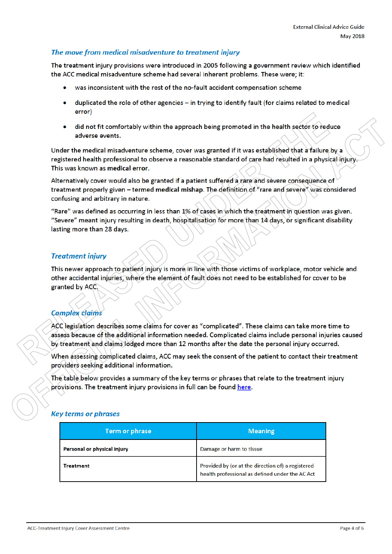#### The move from medical misadventure to treatment injury

The treatment injury provisions were introduced in 2005 following a government review which identified the ACC medical misadventure scheme had several inherent problems. These were; it:

- was inconsistent with the rest of the no-fault accident compensation scheme
- duplicated the role of other agencies in trying to identify fault (for claims related to medical error)
- did not fit comfortably within the approach being promoted in the health sector to reduce adverse events.

Under the medical misadventure scheme, cover was granted if it was established that a failure by a registered health professional to observe a reasonable standard of care had resulted in a physical injury. This was known as medical error.

Alternatively cover would also be granted if a patient suffered a rare and severe consequence of treatment properly given - termed medical mishap. The definition of "rare and severe" was considered confusing and arbitrary in nature.

"Rare" was defined as occurring in less than 1% of cases in which the treatment in question was given. "Severe" meant injury resulting in death, hospitalisation for more than 14 days, or significant disability lasting more than 28 days.

#### **Treatment injury**

This newer approach to patient injury is more in line with those victims of workplace, motor vehicle and other accidental injuries, where the element of fault does not need to be established for cover to be granted by ACC.

## **Complex claims**

ACC legislation describes some claims for cover as "complicated". These claims can take more time to assess because of the additional information needed. Complicated claims include personal injuries caused by treatment and claims lodged more than 12 months after the date the personal injury occurred.

When assessing complicated claims, ACC may seek the consent of the patient to contact their treatment providers seeking additional information.

The table below provides a summary of the key terms or phrases that relate to the treatment injury provisions. The treatment injury provisions in full can be found here.

#### **Key terms or phrases**

| Term or phrase              | <b>Meaning</b>                                                                                       |
|-----------------------------|------------------------------------------------------------------------------------------------------|
| Personal or physical injury | Damage or harm to tissue                                                                             |
| Treatment                   | Provided by (or at the direction of) a registered<br>health professional as defined under the AC Act |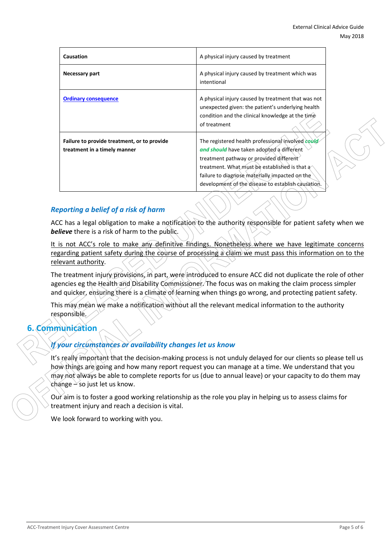| Causation                                                                   | A physical injury caused by treatment                                                                                                                                                                                                                                                              |  |
|-----------------------------------------------------------------------------|----------------------------------------------------------------------------------------------------------------------------------------------------------------------------------------------------------------------------------------------------------------------------------------------------|--|
| Necessary part                                                              | A physical injury caused by treatment which was<br>intentional                                                                                                                                                                                                                                     |  |
| <b>Ordinary consequence</b>                                                 | A physical injury caused by treatment that was not<br>unexpected given: the patient's underlying health<br>condition and the clinical knowledge at the time<br>of treatment                                                                                                                        |  |
| Failure to provide treatment, or to provide<br>treatment in a timely manner | The registered health professional involved could<br>and should have taken adopted a different<br>treatment pathway or provided different<br>treatment. What must be established is that a<br>failure to diagnose materially impacted on the<br>development of the disease to establish causation. |  |

## *Reporting a belief of a risk of harm*

ACC has a legal obligation to make a notification to the authority responsible for patient safety when we *believe* there is a risk of harm to the public.

It is not ACC's role to make any definitive findings. Nonetheless where we have legitimate concerns regarding patient safety during the course of processing a claim we must pass this information on to the relevant authority.

The treatment injury provisions, in part, were introduced to ensure ACC did not duplicate the role of other agencies eg the Health and Disability Commissioner. The focus was on making the claim process simpler and quicker, ensuring there is a climate of learning when things go wrong, and protecting patient safety.

This may mean we make a notification without all the relevant medical information to the authority responsible.

## **6. Communication**

## *If your circumstances or availability changes let us know*

It's really important that the decision-making process is not unduly delayed for our clients so please tell us how things are going and how many report request you can manage at a time. We understand that you may not always be able to complete reports for us (due to annual leave) or your capacity to do them may change  $-$  so just let us know.

Our aim is to foster a good working relationship as the role you play in helping us to assess claims for treatment injury and reach a decision is vital.

We look forward to working with you.